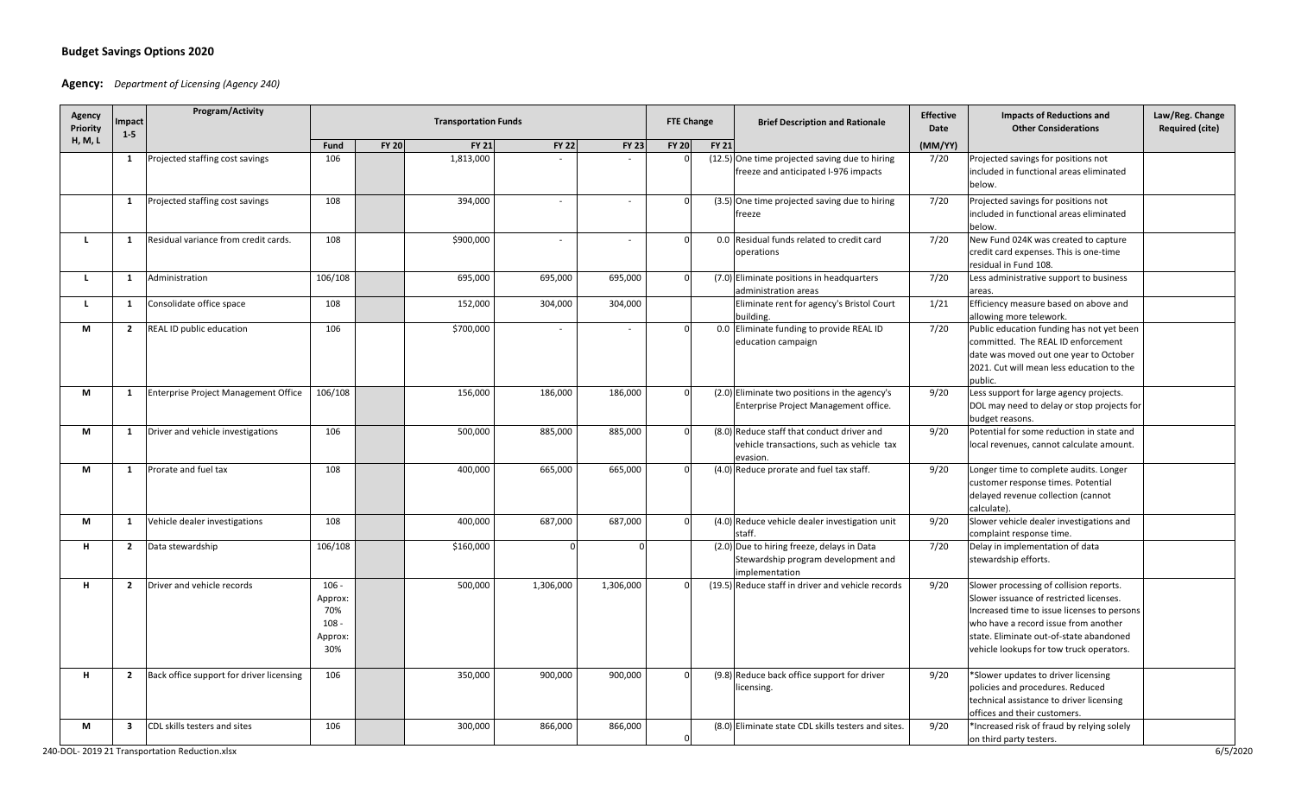## **Budget Savings Options 2020**

## **Agency:** *Department of Licensing (Agency 240)*

| Agency<br>Priority | <b>Impact</b><br>$1 - 5$ | <b>Program/Activity</b>                  | <b>Transportation Funds</b>                            |              |              |                          |              |              | <b>FTE Change</b> | <b>Brief Description and Rationale</b>                                                              | <b>Effective</b><br>Date | <b>Impacts of Reductions and</b><br><b>Other Considerations</b>                                                                                                                                                                                                  | Law/Reg. Change<br><b>Required (cite)</b> |
|--------------------|--------------------------|------------------------------------------|--------------------------------------------------------|--------------|--------------|--------------------------|--------------|--------------|-------------------|-----------------------------------------------------------------------------------------------------|--------------------------|------------------------------------------------------------------------------------------------------------------------------------------------------------------------------------------------------------------------------------------------------------------|-------------------------------------------|
| H, M, L            |                          |                                          | Fund                                                   | <b>FY 20</b> | <b>FY 21</b> | <b>FY 22</b>             | <b>FY 23</b> | <b>FY 20</b> | <b>FY 21</b>      |                                                                                                     | (MM/YY)                  |                                                                                                                                                                                                                                                                  |                                           |
|                    | $\mathbf{1}$             | Projected staffing cost savings          | 106                                                    |              | 1,813,000    |                          |              |              |                   | (12.5) One time projected saving due to hiring<br>freeze and anticipated I-976 impacts              | 7/20                     | Projected savings for positions not<br>included in functional areas eliminated<br>below.                                                                                                                                                                         |                                           |
|                    | $\mathbf{1}$             | Projected staffing cost savings          | 108                                                    |              | 394,000      | $\blacksquare$           | $\sim$       |              |                   | (3.5) One time projected saving due to hiring<br>reeze                                              | 7/20                     | Projected savings for positions not<br>included in functional areas eliminated<br>below.                                                                                                                                                                         |                                           |
| л.                 | 1                        | Residual variance from credit cards.     | 108                                                    |              | \$900,000    | $\overline{\phantom{a}}$ | $\sim$       |              |                   | 0.0 Residual funds related to credit card<br>operations                                             | 7/20                     | New Fund 024K was created to capture<br>credit card expenses. This is one-time<br>residual in Fund 108.                                                                                                                                                          |                                           |
| -1.                | -1                       | Administration                           | 106/108                                                |              | 695,000      | 695,000                  | 695,000      |              |                   | (7.0) Eliminate positions in headquarters<br>administration areas                                   | 7/20                     | Less administrative support to business<br>areas.                                                                                                                                                                                                                |                                           |
| L.                 | 1                        | Consolidate office space                 | 108                                                    |              | 152,000      | 304,000                  | 304,000      |              |                   | Eliminate rent for agency's Bristol Court<br>building.                                              | 1/21                     | Efficiency measure based on above and<br>allowing more telework.                                                                                                                                                                                                 |                                           |
| М                  | $\overline{2}$           | REAL ID public education                 | 106                                                    |              | \$700,000    |                          |              |              |                   | 0.0 Eliminate funding to provide REAL ID<br>education campaign                                      | 7/20                     | Public education funding has not yet been<br>committed. The REAL ID enforcement<br>date was moved out one year to October<br>2021. Cut will mean less education to the<br>public.                                                                                |                                           |
| М                  | $\mathbf{1}$             | Enterprise Project Management Office     | 106/108                                                |              | 156,000      | 186,000                  | 186,000      |              |                   | (2.0) Eliminate two positions in the agency's<br>Enterprise Project Management office.              | 9/20                     | Less support for large agency projects.<br>DOL may need to delay or stop projects for<br>budget reasons.                                                                                                                                                         |                                           |
| М                  | $\mathbf{1}$             | Driver and vehicle investigations        | 106                                                    |              | 500,000      | 885,000                  | 885,000      |              |                   | (8.0) Reduce staff that conduct driver and<br>vehicle transactions, such as vehicle tax<br>evasion. | 9/20                     | Potential for some reduction in state and<br>local revenues, cannot calculate amount.                                                                                                                                                                            |                                           |
| М                  | 1                        | Prorate and fuel tax                     | 108                                                    |              | 400,000      | 665,000                  | 665,000      |              |                   | (4.0) Reduce prorate and fuel tax staff.                                                            | 9/20                     | Longer time to complete audits. Longer<br>customer response times. Potential<br>delayed revenue collection (cannot<br>calculate).                                                                                                                                |                                           |
| М                  | 1                        | Vehicle dealer investigations            | 108                                                    |              | 400,000      | 687,000                  | 687,000      |              |                   | (4.0) Reduce vehicle dealer investigation unit<br>staff.                                            | 9/20                     | Slower vehicle dealer investigations and<br>complaint response time.                                                                                                                                                                                             |                                           |
| н.                 | $\mathbf{2}$             | Data stewardship                         | 106/108                                                |              | \$160,000    |                          |              |              |                   | (2.0) Due to hiring freeze, delays in Data<br>Stewardship program development and<br>implementation | 7/20                     | Delay in implementation of data<br>stewardship efforts.                                                                                                                                                                                                          |                                           |
| н                  | $\overline{2}$           | Driver and vehicle records               | $106 -$<br>Approx:<br>70%<br>$108 -$<br>Approx:<br>30% |              | 500,000      | 1,306,000                | 1,306,000    |              |                   | (19.5) Reduce staff in driver and vehicle records                                                   | 9/20                     | Slower processing of collision reports.<br>Slower issuance of restricted licenses.<br>Increased time to issue licenses to persons<br>who have a record issue from another<br>state. Eliminate out-of-state abandoned<br>vehicle lookups for tow truck operators. |                                           |
|                    | $\overline{2}$           | Back office support for driver licensing | 106                                                    |              | 350,000      | 900,000                  | 900,000      |              |                   | (9.8) Reduce back office support for driver<br>icensing.                                            | 9/20                     | *Slower updates to driver licensing<br>policies and procedures. Reduced<br>technical assistance to driver licensing<br>offices and their customers.                                                                                                              |                                           |
| М                  | $\overline{\mathbf{3}}$  | CDL skills testers and sites             | 106                                                    |              | 300,000      | 866,000                  | 866,000      |              |                   | (8.0) Eliminate state CDL skills testers and sites.                                                 | 9/20                     | *Increased risk of fraud by relying solely<br>on third party testers.                                                                                                                                                                                            |                                           |